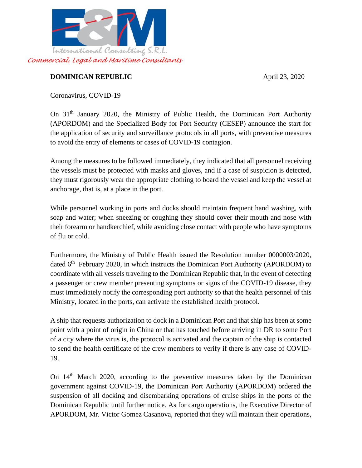

## **DOMINICAN REPUBLIC** April 23, 2020

Coronavirus, COVID-19

On 31th January 2020, the Ministry of Public Health, the Dominican Port Authority (APORDOM) and the Specialized Body for Port Security (CESEP) announce the start for the application of security and surveillance protocols in all ports, with preventive measures to avoid the entry of elements or cases of COVID-19 contagion.

Among the measures to be followed immediately, they indicated that all personnel receiving the vessels must be protected with masks and gloves, and if a case of suspicion is detected, they must rigorously wear the appropriate clothing to board the vessel and keep the vessel at anchorage, that is, at a place in the port.

While personnel working in ports and docks should maintain frequent hand washing, with soap and water; when sneezing or coughing they should cover their mouth and nose with their forearm or handkerchief, while avoiding close contact with people who have symptoms of flu or cold.

Furthermore, the Ministry of Public Health issued the Resolution number 0000003/2020, dated 6<sup>th</sup> February 2020, in which instructs the Dominican Port Authority (APORDOM) to coordinate with all vessels traveling to the Dominican Republic that, in the event of detecting a passenger or crew member presenting symptoms or signs of the COVID-19 disease, they must immediately notify the corresponding port authority so that the health personnel of this Ministry, located in the ports, can activate the established health protocol.

A ship that requests authorization to dock in a Dominican Port and that ship has been at some point with a point of origin in China or that has touched before arriving in DR to some Port of a city where the virus is, the protocol is activated and the captain of the ship is contacted to send the health certificate of the crew members to verify if there is any case of COVID-19.

On 14<sup>th</sup> March 2020, according to the preventive measures taken by the Dominican government against COVID-19, the Dominican Port Authority (APORDOM) ordered the suspension of all docking and disembarking operations of cruise ships in the ports of the Dominican Republic until further notice. As for cargo operations, the Executive Director of APORDOM, Mr. Victor Gomez Casanova, reported that they will maintain their operations,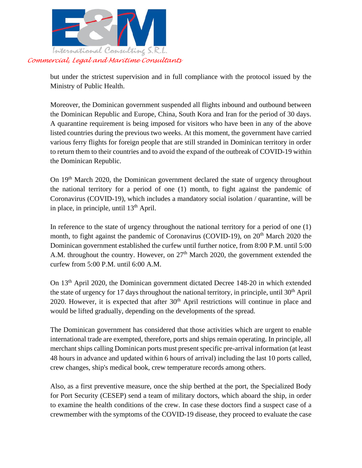

but under the strictest supervision and in full compliance with the protocol issued by the Ministry of Public Health.

Moreover, the Dominican government suspended all flights inbound and outbound between the Dominican Republic and Europe, China, South Kora and Iran for the period of 30 days. A quarantine requirement is being imposed for visitors who have been in any of the above listed countries during the previous two weeks. At this moment, the government have carried various ferry flights for foreign people that are still stranded in Dominican territory in order to return them to their countries and to avoid the expand of the outbreak of COVID-19 within the Dominican Republic.

On 19<sup>th</sup> March 2020, the Dominican government declared the state of urgency throughout the national territory for a period of one (1) month, to fight against the pandemic of Coronavirus (COVID-19), which includes a mandatory social isolation / quarantine, will be in place, in principle, until  $13<sup>th</sup>$  April.

In reference to the state of urgency throughout the national territory for a period of one (1) month, to fight against the pandemic of Coronavirus (COVID-19), on 20<sup>th</sup> March 2020 the Dominican government established the curfew until further notice, from 8:00 P.M. until 5:00 A.M. throughout the country. However, on  $27<sup>th</sup>$  March 2020, the government extended the curfew from 5:00 P.M. until 6:00 A.M.

On 13th April 2020, the Dominican government dictated Decree 148-20 in which extended the state of urgency for 17 days throughout the national territory, in principle, until  $30<sup>th</sup>$  April 2020. However, it is expected that after  $30<sup>th</sup>$  April restrictions will continue in place and would be lifted gradually, depending on the developments of the spread.

The Dominican government has considered that those activities which are urgent to enable international trade are exempted, therefore, ports and ships remain operating. In principle, all merchant ships calling Dominican ports must present specific pre-arrival information (at least 48 hours in advance and updated within 6 hours of arrival) including the last 10 ports called, crew changes, ship's medical book, crew temperature records among others.

Also, as a first preventive measure, once the ship berthed at the port, the Specialized Body for Port Security (CESEP) send a team of military doctors, which aboard the ship, in order to examine the health conditions of the crew. In case these doctors find a suspect case of a crewmember with the symptoms of the COVID-19 disease, they proceed to evaluate the case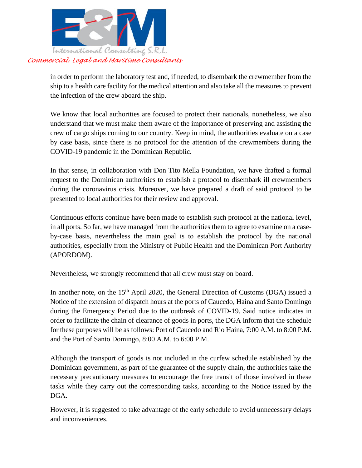

## *Commercial, Legal and Maritime Consultants*

in order to perform the laboratory test and, if needed, to disembark the crewmember from the ship to a health care facility for the medical attention and also take all the measures to prevent the infection of the crew aboard the ship.

We know that local authorities are focused to protect their nationals, nonetheless, we also understand that we must make them aware of the importance of preserving and assisting the crew of cargo ships coming to our country. Keep in mind, the authorities evaluate on a case by case basis, since there is no protocol for the attention of the crewmembers during the COVID-19 pandemic in the Dominican Republic.

In that sense, in collaboration with Don Tito Mella Foundation, we have drafted a formal request to the Dominican authorities to establish a protocol to disembark ill crewmembers during the coronavirus crisis. Moreover, we have prepared a draft of said protocol to be presented to local authorities for their review and approval.

Continuous efforts continue have been made to establish such protocol at the national level, in all ports. So far, we have managed from the authorities them to agree to examine on a caseby-case basis, nevertheless the main goal is to establish the protocol by the national authorities, especially from the Ministry of Public Health and the Dominican Port Authority (APORDOM).

Nevertheless, we strongly recommend that all crew must stay on board.

In another note, on the 15<sup>th</sup> April 2020, the General Direction of Customs (DGA) issued a Notice of the extension of dispatch hours at the ports of Caucedo, Haina and Santo Domingo during the Emergency Period due to the outbreak of COVID-19. Said notice indicates in order to facilitate the chain of clearance of goods in ports, the DGA inform that the schedule for these purposes will be as follows: Port of Caucedo and Rio Haina, 7:00 A.M. to 8:00 P.M. and the Port of Santo Domingo, 8:00 A.M. to 6:00 P.M.

Although the transport of goods is not included in the curfew schedule established by the Dominican government, as part of the guarantee of the supply chain, the authorities take the necessary precautionary measures to encourage the free transit of those involved in these tasks while they carry out the corresponding tasks, according to the Notice issued by the DGA.

However, it is suggested to take advantage of the early schedule to avoid unnecessary delays and inconveniences.